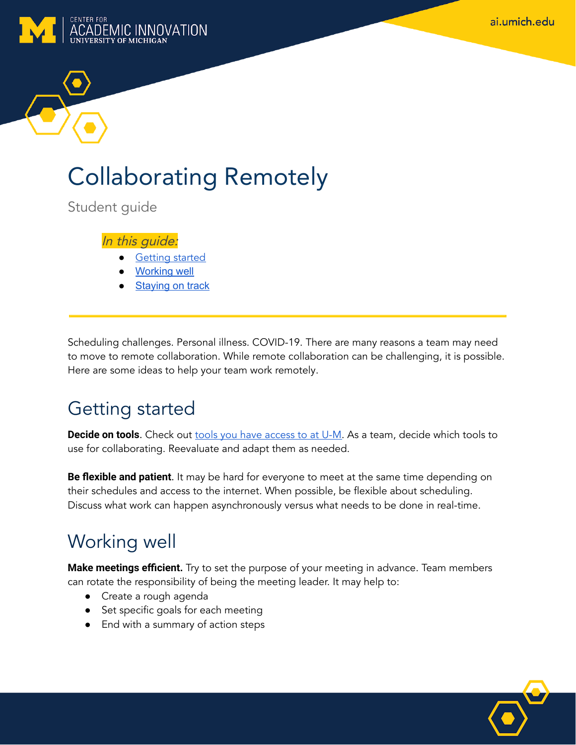ai.umich.edu



# Collaborating Remotely

Student guide

#### In this guide:

- **Getting started**
- **[Working](#page-0-0) well**
- **[Staying](#page-1-0) on track**

Scheduling challenges. Personal illness. COVID-19. There are many reasons a team may need to move to remote collaboration. While remote collaboration can be challenging, it is possible. Here are some ideas to help your team work remotely.

## Getting started

**Decide on tools**. Check out **tools you have [access](https://its.umich.edu/remote-resource-guide#learning) to at U-M**. As a team, decide which tools to use for collaborating. Reevaluate and adapt them as needed.

**Be flexible and patient**. It may be hard for everyone to meet at the same time depending on their schedules and access to the internet. When possible, be flexible about scheduling. Discuss what work can happen asynchronously versus what needs to be done in real-time.

## <span id="page-0-0"></span>Working well

**Make meetings efficient.** Try to set the purpose of your meeting in advance. Team members can rotate the responsibility of being the meeting leader. It may help to:

- Create a rough agenda
- Set specific goals for each meeting
- End with a summary of action steps

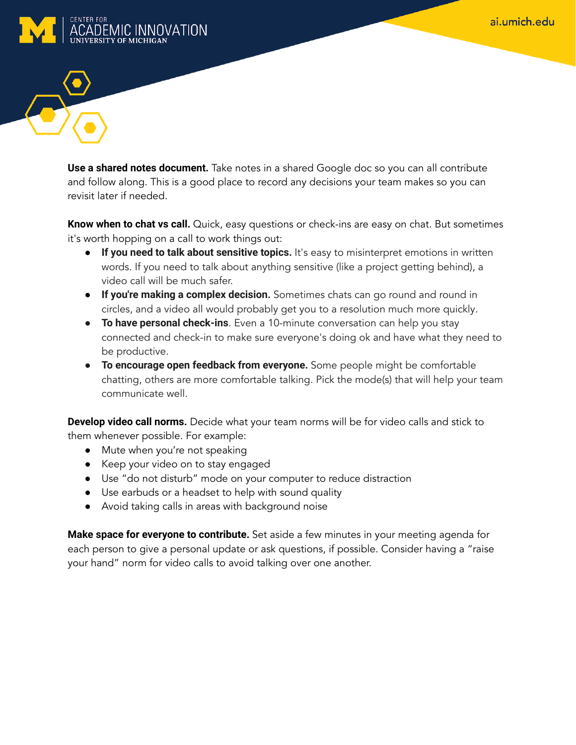



**Use a shared notes document.** Take notes in a shared Google doc so you can all contribute and follow along. This is a good place to record any decisions your team makes so you can revisit later if needed.

**Know when to chat vs call.** Quick, easy questions or check-ins are easy on chat. But sometimes it's worth hopping on a call to work things out:

- **If you need to talk about sensitive topics.** It's easy to misinterpret emotions in written words. If you need to talk about anything sensitive (like a project getting behind), a video call will be much safer.
- **If you're making a complex decision.** Sometimes chats can go round and round in circles, and a video all would probably get you to a resolution much more quickly.
- **To have personal check-ins**. Even a 10-minute conversation can help you stay connected and check-in to make sure everyone's doing ok and have what they need to be productive.
- **● To encourage open feedback from everyone.** Some people might be comfortable chatting, others are more comfortable talking. Pick the mode(s) that will help your team communicate well.

**Develop video call norms.** Decide what your team norms will be for video calls and stick to them whenever possible. For example:

- Mute when you're not speaking
- Keep your video on to stay engaged
- Use "do not disturb" mode on your computer to reduce distraction
- Use earbuds or a headset to help with sound quality
- Avoid taking calls in areas with background noise

<span id="page-1-0"></span>**Make space for everyone to contribute.** Set aside a few minutes in your meeting agenda for each person to give a personal update or ask questions, if possible. Consider having a "raise your hand" norm for video calls to avoid talking over one another.